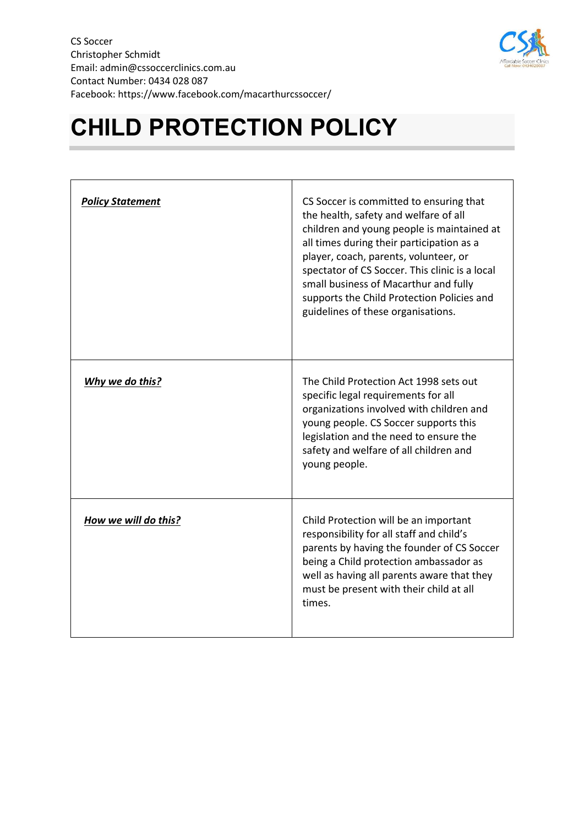

## **CHILD PROTECTION POLICY**

| <b>Policy Statement</b> | CS Soccer is committed to ensuring that<br>the health, safety and welfare of all<br>children and young people is maintained at<br>all times during their participation as a<br>player, coach, parents, volunteer, or<br>spectator of CS Soccer. This clinic is a local<br>small business of Macarthur and fully<br>supports the Child Protection Policies and<br>guidelines of these organisations. |
|-------------------------|-----------------------------------------------------------------------------------------------------------------------------------------------------------------------------------------------------------------------------------------------------------------------------------------------------------------------------------------------------------------------------------------------------|
| Why we do this?         | The Child Protection Act 1998 sets out<br>specific legal requirements for all<br>organizations involved with children and<br>young people. CS Soccer supports this<br>legislation and the need to ensure the<br>safety and welfare of all children and<br>young people.                                                                                                                             |
| How we will do this?    | Child Protection will be an important<br>responsibility for all staff and child's<br>parents by having the founder of CS Soccer<br>being a Child protection ambassador as<br>well as having all parents aware that they<br>must be present with their child at all<br>times.                                                                                                                        |